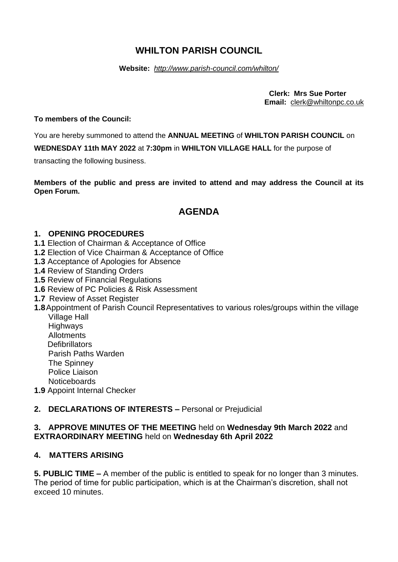# **WHILTON PARISH COUNCIL**

#### **Website:** *<http://www.parish-council.com/whilton/>*

 **Clerk: Mrs Sue Porter Email:** [clerk@whiltonpc.co.uk](mailto:clerk@whiltonpc.co.uk)

### **To members of the Council:**

You are hereby summoned to attend the **ANNUAL MEETING** of **WHILTON PARISH COUNCIL** on

**WEDNESDAY 11th MAY 2022** at **7:30pm** in **WHILTON VILLAGE HALL** for the purpose of

transacting the following business.

**Members of the public and press are invited to attend and may address the Council at its Open Forum.** 

# **AGENDA**

# **1. OPENING PROCEDURES**

- **1.1** Election of Chairman & Acceptance of Office
- **1.2** Election of Vice Chairman & Acceptance of Office
- **1.3** Acceptance of Apologies for Absence
- **1.4** Review of Standing Orders
- **1.5** Review of Financial Regulations
- **1.6** Review of PC Policies & Risk Assessment
- **1.7** Review of Asset Register
- **1.8**Appointment of Parish Council Representatives to various roles/groups within the village Village Hall
	- **Highways** Allotments **Defibrillators** Parish Paths Warden **The Spinney** Police Liaison **Noticeboards**
- **1.9** Appoint Internal Checker

# **2. DECLARATIONS OF INTERESTS –** Personal or Prejudicial

## **3. APPROVE MINUTES OF THE MEETING** held on **Wednesday 9th March 2022** and **EXTRAORDINARY MEETING** held on **Wednesday 6th April 2022**

# **4. MATTERS ARISING**

**5. PUBLIC TIME –** A member of the public is entitled to speak for no longer than 3 minutes. The period of time for public participation, which is at the Chairman's discretion, shall not exceed 10 minutes.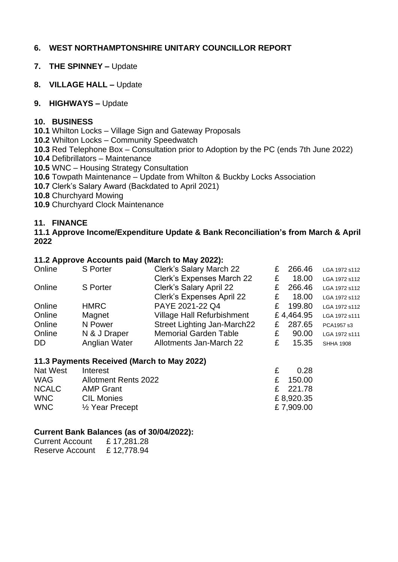# **6. WEST NORTHAMPTONSHIRE UNITARY COUNCILLOR REPORT**

- **7. THE SPINNEY –** Update
- **8. VILLAGE HALL –** Update

## **9. HIGHWAYS –** Update

## **10. BUSINESS**

**10.1** Whilton Locks – Village Sign and Gateway Proposals

- **10.2** Whilton Locks Community Speedwatch
- **10.3** Red Telephone Box Consultation prior to Adoption by the PC (ends 7th June 2022)
- **10.4** Defibrillators Maintenance
- **10.5** WNC Housing Strategy Consultation
- **10.6** Towpath Maintenance Update from Whilton & Buckby Locks Association
- **10.7** Clerk's Salary Award (Backdated to April 2021)
- **10.8** Churchyard Mowing
- **10.9** Churchyard Clock Maintenance

# **11. FINANCE**

## **11.1 Approve Income/Expenditure Update & Bank Reconciliation's from March & April 2022**

#### **11.2 Approve Accounts paid (March to May 2022):**

| <b>S</b> Porter | Clerk's Salary March 22           | £ | 266.46 | LGA 1972 s112       |
|-----------------|-----------------------------------|---|--------|---------------------|
|                 | <b>Clerk's Expenses March 22</b>  | £ | 18.00  | LGA 1972 s112       |
| <b>S</b> Porter | Clerk's Salary April 22           |   | 266.46 | LGA 1972 s112       |
|                 | <b>Clerk's Expenses April 22</b>  | £ | 18.00  | LGA 1972 s112       |
| <b>HMRC</b>     | PAYE 2021-22 Q4                   | £ | 199.80 | LGA 1972 s112       |
| Magnet          | <b>Village Hall Refurbishment</b> |   |        | LGA 1972 s111       |
| N Power         | Street Lighting Jan-March22       |   | 287.65 | PCA1957 s3          |
| N & J Draper    | <b>Memorial Garden Table</b>      | £ | 90.00  | LGA 1972 s111       |
| Anglian Water   | Allotments Jan-March 22           | £ | 15.35  | <b>SHHA 1908</b>    |
|                 |                                   |   |        | £<br>£4,464.95<br>£ |

#### **11.3 Payments Received (March to May 2022)**

| Nat West     | Interest                    | 0.28      |
|--------------|-----------------------------|-----------|
| <b>WAG</b>   | <b>Allotment Rents 2022</b> | £ 150.00  |
| <b>NCALC</b> | <b>AMP Grant</b>            | £ 221.78  |
| <b>WNC</b>   | <b>CIL Monies</b>           | £8,920.35 |
| <b>WNC</b>   | $\frac{1}{2}$ Year Precept  | £7,909.00 |

#### **Current Bank Balances (as of 30/04/2022):**

| <b>Current Account</b> | £17,281.28 |
|------------------------|------------|
| Reserve Account        | £12,778.94 |